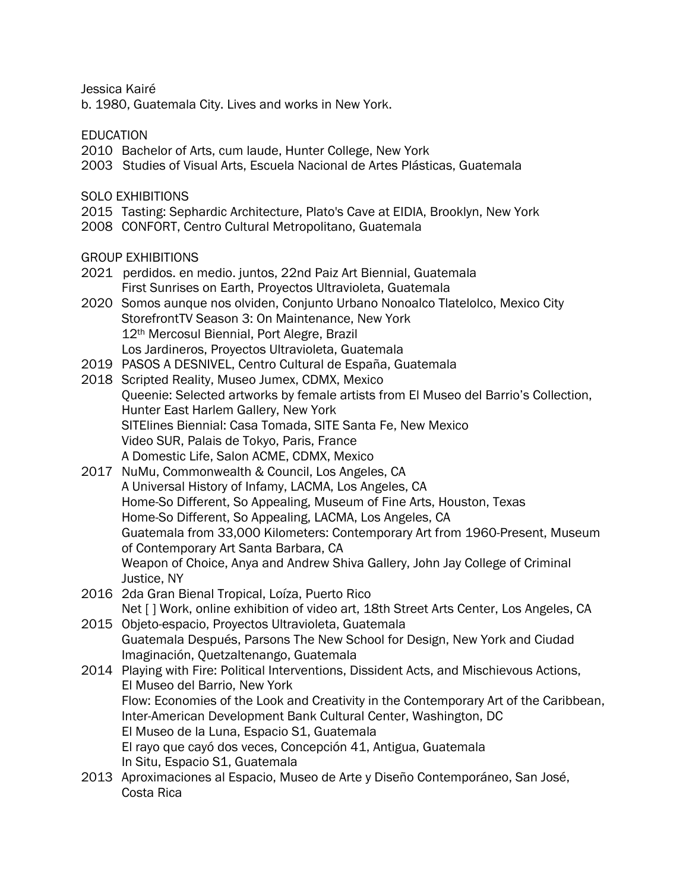Jessica Kairé

b. 1980, Guatemala City. Lives and works in New York.

EDUCATION

- 2010 Bachelor of Arts, cum laude, Hunter College, New York
- 2003 Studies of Visual Arts, Escuela Nacional de Artes Plásticas, Guatemala

SOLO EXHIBITIONS

- 2015 Tasting: Sephardic Architecture, Plato's Cave at EIDIA, Brooklyn, New York
- 2008 CONFORT, Centro Cultural Metropolitano, Guatemala

GROUP EXHIBITIONS

- 2021 perdidos. en medio. juntos, 22nd Paiz Art Biennial, Guatemala First Sunrises on Earth, Proyectos Ultravioleta, Guatemala
- 2020 Somos aunque nos olviden, Conjunto Urbano Nonoalco Tlatelolco, Mexico City StorefrontTV Season 3: On Maintenance, New York 12<sup>th</sup> Mercosul Biennial, Port Alegre, Brazil Los Jardineros, Proyectos Ultravioleta, Guatemala
- 2019 PASOS A DESNIVEL, Centro Cultural de España, Guatemala
- 2018 Scripted Reality, Museo Jumex, CDMX, Mexico Queenie: Selected artworks by female artists from El Museo del Barrio's Collection, Hunter East Harlem Gallery, New York SITElines Biennial: Casa Tomada, SITE Santa Fe, New Mexico Video SUR, Palais de Tokyo, Paris, France A Domestic Life, Salon ACME, CDMX, Mexico
- 2017 NuMu, Commonwealth & Council, Los Angeles, CA A Universal History of Infamy, LACMA, Los Angeles, CA Home-So Different, So Appealing, Museum of Fine Arts, Houston, Texas Home-So Different, So Appealing, LACMA, Los Angeles, CA Guatemala from 33,000 Kilometers: Contemporary Art from 1960-Present, Museum of Contemporary Art Santa Barbara, CA Weapon of Choice, Anya and Andrew Shiva Gallery, John Jay College of Criminal Justice, NY
- 2016 2da Gran Bienal Tropical, Loíza, Puerto Rico Net [] Work, online exhibition of video art, 18th Street Arts Center, Los Angeles, CA
- 2015 Objeto-espacio, Proyectos Ultravioleta, Guatemala Guatemala Después, Parsons The New School for Design, New York and Ciudad Imaginación, Quetzaltenango, Guatemala
- 2014 Playing with Fire: Political Interventions, Dissident Acts, and Mischievous Actions, El Museo del Barrio, New York Flow: Economies of the Look and Creativity in the Contemporary Art of the Caribbean, Inter-American Development Bank Cultural Center, Washington, DC El Museo de la Luna, Espacio S1, Guatemala El rayo que cayó dos veces, Concepción 41, Antigua, Guatemala In Situ, Espacio S1, Guatemala
- 2013 Aproximaciones al Espacio, Museo de Arte y Diseño Contemporáneo, San José, Costa Rica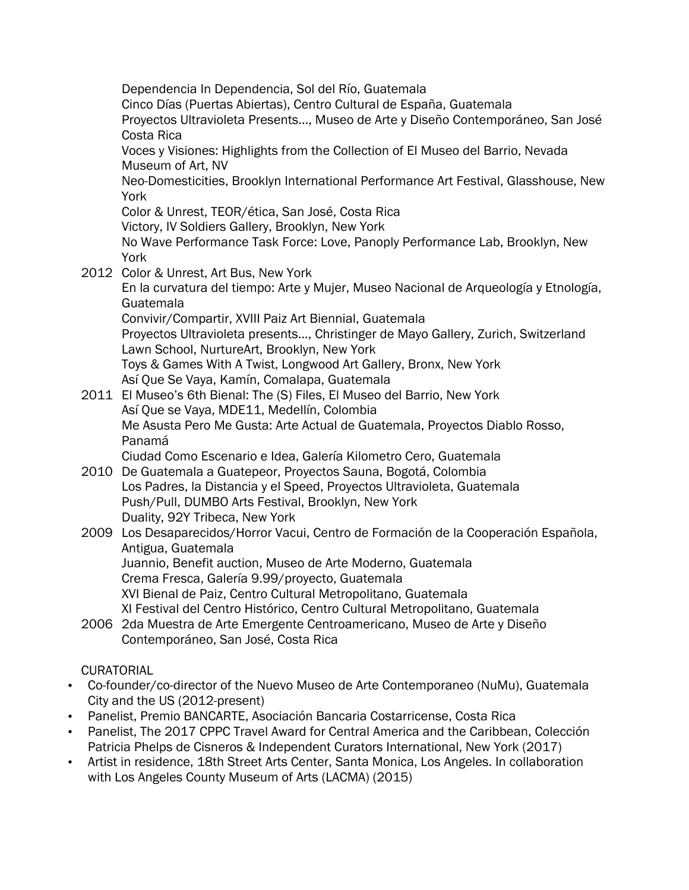Dependencia In Dependencia, Sol del Río, Guatemala Cinco Días (Puertas Abiertas), Centro Cultural de España, Guatemala Proyectos Ultravioleta Presents…, Museo de Arte y Diseño Contemporáneo, San José Costa Rica Voces y Visiones: Highlights from the Collection of El Museo del Barrio, Nevada Museum of Art, NV Neo-Domesticities, Brooklyn International Performance Art Festival, Glasshouse, New York Color & Unrest, TEOR/ética, San José, Costa Rica Victory, IV Soldiers Gallery, Brooklyn, New York No Wave Performance Task Force: Love, Panoply Performance Lab, Brooklyn, New York 2012 Color & Unrest, Art Bus, New York En la curvatura del tiempo: Arte y Mujer, Museo Nacional de Arqueología y Etnología, Guatemala Convivir/Compartir, XVIII Paiz Art Biennial, Guatemala Proyectos Ultravioleta presents..., Christinger de Mayo Gallery, Zurich, Switzerland Lawn School, NurtureArt, Brooklyn, New York Toys & Games With A Twist, Longwood Art Gallery, Bronx, New York Así Que Se Vaya, Kamín, Comalapa, Guatemala 2011 El Museo's 6th Bienal: The (S) Files, El Museo del Barrio, New York Así Que se Vaya, MDE11, Medellín, Colombia Me Asusta Pero Me Gusta: Arte Actual de Guatemala, Proyectos Diablo Rosso, Panamá Ciudad Como Escenario e Idea, Galería Kilometro Cero, Guatemala 2010 De Guatemala a Guatepeor, Proyectos Sauna, Bogotá, Colombia Los Padres, la Distancia y el Speed, Proyectos Ultravioleta, Guatemala Push/Pull, DUMBO Arts Festival, Brooklyn, New York Duality, 92Y Tribeca, New York 2009 Los Desaparecidos/Horror Vacui, Centro de Formación de la Cooperación Española, Antigua, Guatemala Juannio, Benefit auction, Museo de Arte Moderno, Guatemala Crema Fresca, Galería 9.99/proyecto, Guatemala XVI Bienal de Paiz, Centro Cultural Metropolitano, Guatemala XI Festival del Centro Histórico, Centro Cultural Metropolitano, Guatemala 2006 2da Muestra de Arte Emergente Centroamericano, Museo de Arte y Diseño Contemporáneo, San José, Costa Rica

- CURATORIAL
- Co-founder/co-director of the Nuevo Museo de Arte Contemporaneo (NuMu), Guatemala City and the US (2012-present)
- Panelist, Premio BANCARTE, Asociación Bancaria Costarricense, Costa Rica
- Panelist, The 2017 CPPC Travel Award for Central America and the Caribbean, Colección Patricia Phelps de Cisneros & Independent Curators International, New York (2017)
- Artist in residence, 18th Street Arts Center, Santa Monica, Los Angeles. In collaboration with Los Angeles County Museum of Arts (LACMA) (2015)